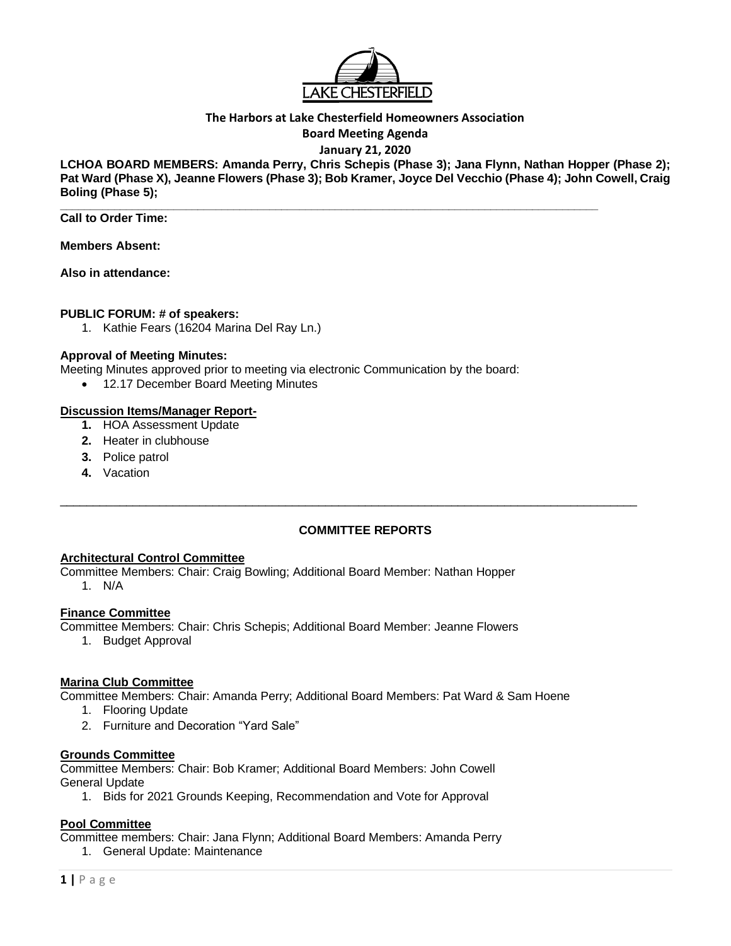

# **The Harbors at Lake Chesterfield Homeowners Association**

**Board Meeting Agenda**

# **January 21, 2020**

**LCHOA BOARD MEMBERS: Amanda Perry, Chris Schepis (Phase 3); Jana Flynn, Nathan Hopper (Phase 2); Pat Ward (Phase X), Jeanne Flowers (Phase 3); Bob Kramer, Joyce Del Vecchio (Phase 4); John Cowell, Craig Boling (Phase 5);**

**\_\_\_\_\_\_\_\_\_\_\_\_\_\_\_\_\_\_\_\_\_\_\_\_\_\_\_\_\_\_\_\_\_\_\_\_\_\_\_\_\_\_\_\_\_\_\_\_\_\_\_\_\_\_\_\_\_\_\_\_\_\_\_\_\_\_\_\_\_\_\_\_\_\_\_\_\_\_\_\_\_\_\_\_\_\_\_\_\_\_ Call to Order Time:** 

**Members Absent:** 

**Also in attendance:** 

# **PUBLIC FORUM: # of speakers:**

1. Kathie Fears (16204 Marina Del Ray Ln.)

#### **Approval of Meeting Minutes:**

Meeting Minutes approved prior to meeting via electronic Communication by the board:

• 12.17 December Board Meeting Minutes

#### **Discussion Items/Manager Report-**

- **1.** HOA Assessment Update
- **2.** Heater in clubhouse
- **3.** Police patrol
- **4.** Vacation

# **COMMITTEE REPORTS**

 $\_$  ,  $\_$  ,  $\_$  ,  $\_$  ,  $\_$  ,  $\_$  ,  $\_$  ,  $\_$  ,  $\_$  ,  $\_$  ,  $\_$  ,  $\_$  ,  $\_$  ,  $\_$  ,  $\_$  ,  $\_$  ,  $\_$  ,  $\_$  ,  $\_$  ,  $\_$  ,  $\_$  ,  $\_$  ,  $\_$  ,  $\_$  ,  $\_$  ,  $\_$  ,  $\_$  ,  $\_$  ,  $\_$  ,  $\_$  ,  $\_$  ,  $\_$  ,  $\_$  ,  $\_$  ,  $\_$  ,  $\_$  ,  $\_$  ,

# **Architectural Control Committee**

Committee Members: Chair: Craig Bowling; Additional Board Member: Nathan Hopper 1. N/A

#### **Finance Committee**

- Committee Members: Chair: Chris Schepis; Additional Board Member: Jeanne Flowers
	- 1. Budget Approval

# **Marina Club Committee**

Committee Members: Chair: Amanda Perry; Additional Board Members: Pat Ward & Sam Hoene

- 1. Flooring Update
- 2. Furniture and Decoration "Yard Sale"

#### **Grounds Committee**

Committee Members: Chair: Bob Kramer; Additional Board Members: John Cowell General Update

1. Bids for 2021 Grounds Keeping, Recommendation and Vote for Approval

# **Pool Committee**

Committee members: Chair: Jana Flynn; Additional Board Members: Amanda Perry

1. General Update: Maintenance